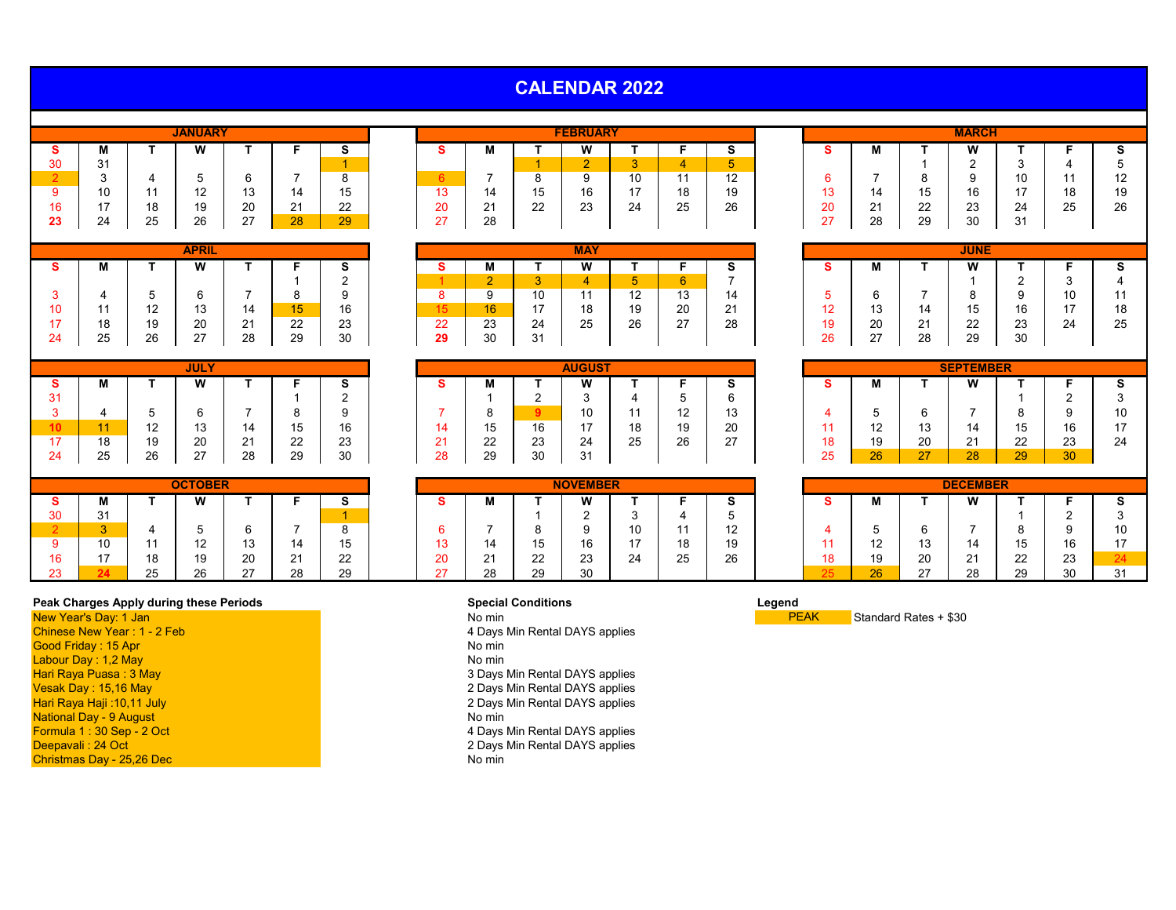| <b>CALENDAR 2022</b> |
|----------------------|
|----------------------|

|    |    |    | <b>JANUARY</b> |    |    |    |
|----|----|----|----------------|----|----|----|
| s  | М  |    | W              |    |    | s  |
| 30 | 31 |    |                |    |    |    |
|    | 3  |    | 5              | 6  |    | 8  |
| 9  | 10 | 11 | 12             | 13 | 14 | 15 |
| 16 | 17 | 18 | 19             | 20 | 21 | 22 |
| 23 | 24 | 25 | 26             | 27 | 28 | 29 |

|    |    |    | <b>APRIL</b> |    |    |    |
|----|----|----|--------------|----|----|----|
| s  | М  |    | W            |    |    | s  |
|    |    |    |              |    |    | 2  |
| 3  |    | 5  | 6            |    | 8  | 9  |
| 10 | 11 | 12 | 13           | 14 | 15 | 16 |
| 17 | 18 | 19 | 20           | 21 | 22 | 23 |
| 24 | 25 | 26 | 27           | 28 | 29 | 30 |
|    |    |    |              |    |    |    |

|         |                  |    | <b>JULY</b>           |          |                     |                   |    |             |    | <b>AUGUST</b>  |              |                              |                       |    |                          |                   | <b>SEPTEMBER</b> |         |    |
|---------|------------------|----|-----------------------|----------|---------------------|-------------------|----|-------------|----|----------------|--------------|------------------------------|-----------------------|----|--------------------------|-------------------|------------------|---------|----|
|         | w                |    | W                     |          |                     | $\mathbf{c}$<br>э |    | ш           |    |                |              |                              | -<br>Ð                |    |                          |                   | M<br>v v         |         |    |
| 24<br>◡ |                  |    |                       |          |                     | ◠<br><u>_</u>     |    |             | -  |                |              | u                            |                       |    |                          |                   |                  |         |    |
|         |                  |    |                       |          |                     | -9                |    |             |    |                |              | $\overline{A}$<br>. <u>.</u> | $\overline{A}$<br>ں ا |    | -<br>u                   |                   |                  |         |    |
| 1 V     |                  |    | $\overline{A}$<br>ں ا |          | 15<br>ں ا           | 16                |    | ں ا         | 16 | —              | 18           | 1Q<br>ט ו                    | 20                    |    | $\overline{a}$<br>$\sim$ | ں ا               | 14               |         | 16 |
|         | 10<br>10         | 10 | 20                    | $\Omega$ | $\sim$<br><u>__</u> | 23                | ົ  | $\sim$<br>ᅩ | 23 | $\Omega$<br>-4 | $\sim$<br>25 | 26                           | $\sim$<br>21          | 18 | 19                       | 20                | $\sim$ 1         | ົດ<br>ᅩ | 23 |
| 24      | $\sim$ $-$<br>د∠ | 26 | $\sim$<br>ے           | ററ<br>۷o | 29                  | 30                | 28 | 29          | 30 | 31             |              |                              |                       | 25 | 26                       | $\sqrt{7}$<br>. . | 28               | 20<br>້ | 30 |
|         |                  |    |                       |          |                     |                   |    |             |    |                |              |                              |                       |    |                          |                   |                  |         |    |

|    |    |    | <b>OCTOBER</b> |    |    |    |
|----|----|----|----------------|----|----|----|
| s  | М  |    | W              |    |    |    |
| 30 | 31 |    |                |    |    |    |
|    |    |    | 5              | 6  |    |    |
| 9  | 10 | 11 | 12             | 13 | 14 | 15 |
| 16 | 17 | 18 | 19             | 20 | 21 | 22 |
| 23 |    | 25 | 26             | 27 | 28 | 29 |

## **Peak Charges Apply during these Periods Special Conditions Legend**

New Year's Day: 1 Jan No min No min No min No min No min Standard Rates + \$30<br>
20 Chinese New Year : 1 - 2 Feb No Min Standard Rates + \$30 Good Friday : 15 Apr No min Labour Day : 1,2 May<br>Hari Raya Puasa : 3 May Hari Raya Puasa : 3 May 3 Days Min Rental DAYS applies Vesak Day : 15,16 May 2 Days Min Rental DAYS applies National Day - 9 August<br>Formula 1 : 30 Sep - 2 Oct Formula 1 : 30 Sep - 2 Oct 4 Days Min Rental DAYS applies Christmas Day - 25,26 Dec

|           |    |                  | <b>JANUARY</b> |                      |    |         |                  |                   |                     | <b>FEBRUARY</b> |    |          |                       |        |                    |                     | <b>MARCH</b> |    |                        |    |
|-----------|----|------------------|----------------|----------------------|----|---------|------------------|-------------------|---------------------|-----------------|----|----------|-----------------------|--------|--------------------|---------------------|--------------|----|------------------------|----|
|           |    |                  | W              |                      |    | œ       |                  | M                 |                     | M               |    |          |                       |        | w                  |                     | M            |    |                        |    |
|           | 31 |                  |                |                      |    |         |                  |                   |                     |                 |    |          |                       |        |                    |                     |              |    |                        |    |
|           |    |                  |                |                      |    |         |                  |                   |                     |                 | 10 |          | $\overline{A}$<br>' 4 |        |                    |                     |              | 10 |                        | 12 |
|           | 10 |                  | $\sqrt{2}$     | $\overline{a}$<br>∣ບ |    | า<br>∪ו | $\sqrt{2}$<br>טו | 14                | --<br>1 F.<br>ּשׁ   | 16              |    | 18       | 10.<br>◡              | ט ו    | 14                 | ี∪                  | 16           |    | 10 <sup>1</sup><br>10. | 19 |
|           |    | 10<br>ıο         | 19             | 20                   | ິ  | っっ<br>ᅩ | 20               | $\mathbf{A}$<br>▴ | $\cap$<br><u>__</u> | $\sim$<br>ںے    | 24 | つら<br>∠∪ | 26                    | zu     | $\sim$<br><u>.</u> | $\sim$<br><u>__</u> | つつ<br>دے     | 24 | つに<br>ںے               | 26 |
| n.<br>20. | 24 | $\sim$ $-$<br>ںے | 26             | $\sim$<br><u>_</u>   | 28 | 29      | っっ<br><u>_ ,</u> | 28                |                     |                 |    |          |                       | $\sim$ | 28                 | 29                  | 30           | 31 |                        |    |

|                |    |           | <b>APRIL</b>     |    |                      |          |         |          |                  | <b>MAY</b>     |           |                |                |              |               |                      | <b>JUNE</b> |    |    |    |
|----------------|----|-----------|------------------|----|----------------------|----------|---------|----------|------------------|----------------|-----------|----------------|----------------|--------------|---------------|----------------------|-------------|----|----|----|
|                |    |           | W                |    |                      | -<br>Ð   |         | M        |                  | M<br>          |           |                |                |              | IVІ           |                      | M<br>       |    |    |    |
|                |    |           |                  |    |                      | -        |         |          |                  |                |           |                |                |              |               |                      |             | _  |    |    |
|                |    |           |                  |    | $\mathbf{\Omega}$    | u        |         |          | 10               | $\overline{A}$ | 10<br>. . | 13             |                |              |               |                      |             |    | 10 | 11 |
| . .            |    | 10<br>1 L | $\sim$<br>ں ا    | 14 | $\overline{ }$<br>שו | 16       |         | 16       |                  | 18             | 19        | 20             | 21<br><u>_</u> | . .          | 12<br>ں ا     | $\overline{A}$<br>14 | 15<br>ιυ    | 16 |    | 18 |
| $\overline{ }$ | 18 | 19        | 20               | 21 | 22                   | റാ<br>دے | つつ<br>∸ | ററ<br>د∠ | 24               | 25             | 26        | 07<br><u>_</u> | 28             | 10           | 20            | $\sim$<br>╺          | ר ה<br>ᅩ    | 23 | 24 | 25 |
| 24             | 25 | 26        | $\sim$<br>$\sim$ | 28 | 29                   | 30       | 29      | 30       | $^{\circ}$<br>ູບ |                |           |                |                | $\sim$<br>∠ง | $\sim$<br>ا ک | 28                   | 29          | 30 |    |    |

|                 |              | <b>JULY</b>       |                    |           |    |          |        |             | <b>AUGUST</b> |    |                 |               |                    |                       |                  | <b>SEPTEMBER</b> |             |              |    |
|-----------------|--------------|-------------------|--------------------|-----------|----|----------|--------|-------------|---------------|----|-----------------|---------------|--------------------|-----------------------|------------------|------------------|-------------|--------------|----|
|                 |              | M<br>             |                    |           | -  |          | w      |             | <b>M</b><br>  |    |                 |               |                    |                       |                  | M                |             |              |    |
|                 |              |                   |                    |           | -  |          |        |             |               |    |                 | n             |                    |                       |                  |                  |             |              |    |
|                 |              |                   |                    |           |    |          |        |             | 10            |    | $\sqrt{2}$<br>∼ | $\sim$<br>. ט |                    |                       |                  |                  |             |              | 10 |
|                 | 10<br>' 4    | $\sqrt{2}$<br>ں ا | 14                 | ∪ו        | 16 |          | 15     | 16          | $4 -$         | 18 | 19              | 20            |                    | $\overline{a}$<br>' - | $\sqrt{2}$<br>ں، |                  | ιυ          | 1 C<br>ΙO    |    |
| 18              | 19           | 20                | $\sim$<br><u>_</u> | nn.<br>__ | 23 | <u>.</u> | ົ<br>ᅩ | $\sim$<br>້ | 24            | 25 | 26              | $\sim$<br>∠   | טו                 | 19                    | 20               | <u>_</u>         | $\sim$<br>∼ | $\sim$<br>∠ບ | 24 |
| <b>OF</b><br>∠◡ | $\sim$<br>۷o | $\sim$            | 28                 | 29        | 30 | 20       | 29     | 30          | ົ             |    |                 |               | $\sim$ $\sim$<br>້ | ne<br>∼               | $\sim$           | 28               | nn.<br>w    | $\Omega$     |    |

|           |                  | <b>CTOBER</b> |                      |              |           |           |                          |          | <b>NOVEMBER</b> |    |          |                   |           |                          |                       | <b>DECEMBER</b> |             |           |    |
|-----------|------------------|---------------|----------------------|--------------|-----------|-----------|--------------------------|----------|-----------------|----|----------|-------------------|-----------|--------------------------|-----------------------|-----------------|-------------|-----------|----|
|           |                  | W             |                      |              | -<br>œ    |           | IV.                      |          | M<br>           |    |          |                   |           |                          |                       | M               |             |           |    |
| 24<br>ا ت |                  |               |                      |              |           |           |                          |          |                 |    |          | . .               |           |                          |                       |                 |             |           |    |
|           |                  |               |                      |              |           |           |                          |          |                 | 10 |          | $\sqrt{2}$<br>' ~ |           |                          |                       |                 |             |           | 10 |
| 10        |                  | $\sqrt{2}$    | $\overline{A}$<br>∣ບ |              | 15<br>ں ا | ہ م<br>٠. | 14                       | -<br>    | 16              |    | 18       | 1Q.<br>◡          |           | $\sqrt{2}$<br>. <u>.</u> | $\overline{A}$<br>ں ا | า⊿เ             | า ๆ<br>ιυ   | 1 C<br>ΙO | 17 |
|           | 10<br>10         | 19            | 20                   | $\mathbf{A}$ | ົດ<br>22  | 20        | $\mathbf{A}$<br><u>_</u> | nn.<br>∼ | $\sim$<br>ںے    | 24 | つら<br>∠∪ | 26                | 4 O<br>ıο | 19                       | 20                    | ິ<br><u>_</u>   | $\sim$<br>▵ | ົດດ<br>∠∪ |    |
|           | $\sim$ $-$<br>دے | 26            | $\sim$<br><u>.</u>   | 28           | 29        |           | 28                       | ററ<br>້  | 30              |    |          |                   | nЕ        | 26                       | $\sim$<br>-           | 28              | 29          | 30        | 31 |

4 Days Min Rental DAYS applies<br>No min

- 
- 
- 2 Days Min Rental DAYS applies<br>No min
	-
- 
- 2 Days Min Rental DAYS applies<br>No min
- 

|    |    |    | <b>MARCH</b> |    |    |    |
|----|----|----|--------------|----|----|----|
| s  | М  |    | W            |    |    |    |
|    |    |    | 2            | 3  |    | 5  |
| 6  |    | 8  | 9            | 10 | 11 | 12 |
| 13 | 14 | 15 | 16           | 17 | 18 | 19 |
| 20 | 21 | 22 | 23           | 24 | 25 | 26 |
| 27 | 28 | 29 | 30           | 31 |    |    |

|    |    |    | <b>JUNE</b> |    |    |    |
|----|----|----|-------------|----|----|----|
| s  | Μ  |    | W           |    | F  | s  |
|    |    |    |             | 2  | 3  |    |
| 5  | 6  |    | 8           | 9  | 10 | 11 |
| 12 | 13 | 14 | 15          | 16 | 17 | 18 |
| 19 | 20 | 21 | 22          | 23 | 24 | 25 |
| 26 | 27 | 28 | 29          | 30 |    |    |

|    |    |    | <b>SEPTEMBER</b> |    |    |    |
|----|----|----|------------------|----|----|----|
| s  | М  |    | W                |    | F  | S  |
|    |    |    |                  |    | 2  | 3  |
| 4  | 5  | 6  |                  | 8  | 9  | 10 |
| 11 | 12 | 13 | 14               | 15 | 16 | 17 |
| 18 | 19 | 20 | 21               | 22 | 23 | 24 |
| 25 | 26 |    | 28               | 29 | 30 |    |
|    |    |    |                  |    |    |    |

| <b>OCTOBER</b> |         |    |                       |    | <b>NOVEMBER</b> |           |                |               |                     |       |    | <b>DECEMBER</b> |    |           |                       |                  |                          |          |              |  |
|----------------|---------|----|-----------------------|----|-----------------|-----------|----------------|---------------|---------------------|-------|----|-----------------|----|-----------|-----------------------|------------------|--------------------------|----------|--------------|--|
|                | M       |    | W<br>v v              |    |                 | $\sim$    |                | М             |                     | W<br> |    |                 |    |           | M                     |                  | <b>MA</b>                |          |              |  |
|                | 21<br>◡ |    |                       |    |                 |           |                |               |                     | -     |    |                 |    |           |                       |                  |                          |          |              |  |
|                |         |    |                       |    |                 |           |                |               |                     |       |    |                 | 12 |           |                       |                  |                          |          |              |  |
|                |         |    | $\overline{A}$<br>' – | IJ | 14              | 15<br>ט ו | 40<br>10       | 14            | ں ا                 | 16    |    | 18              | 19 |           | $\overline{A}$<br>14. | <u> ៱៱</u><br>ں، | 1 л<br>╹╩                | 15<br>∪ו | 16           |  |
| $\sim$         |         | 18 | 19                    | 20 | $\sim$<br>41    | ົດ<br>∠∠  | 20             | $\sim$<br>. . | $\sim$<br><u>__</u> | 23    | 24 | 25              | 26 | 10<br>ı c | 19                    | 20               | $\mathbf{a}$<br><u>_</u> | 22       | $\sim$<br>دے |  |
|                |         | 25 | 26                    | -  | 28              | 29        | 27<br><u>.</u> | ററ<br>∠o      | 29                  | 30    |    |                 |    |           | 26                    | $\sim$           | ററ<br>20                 | 29       |              |  |

PEAK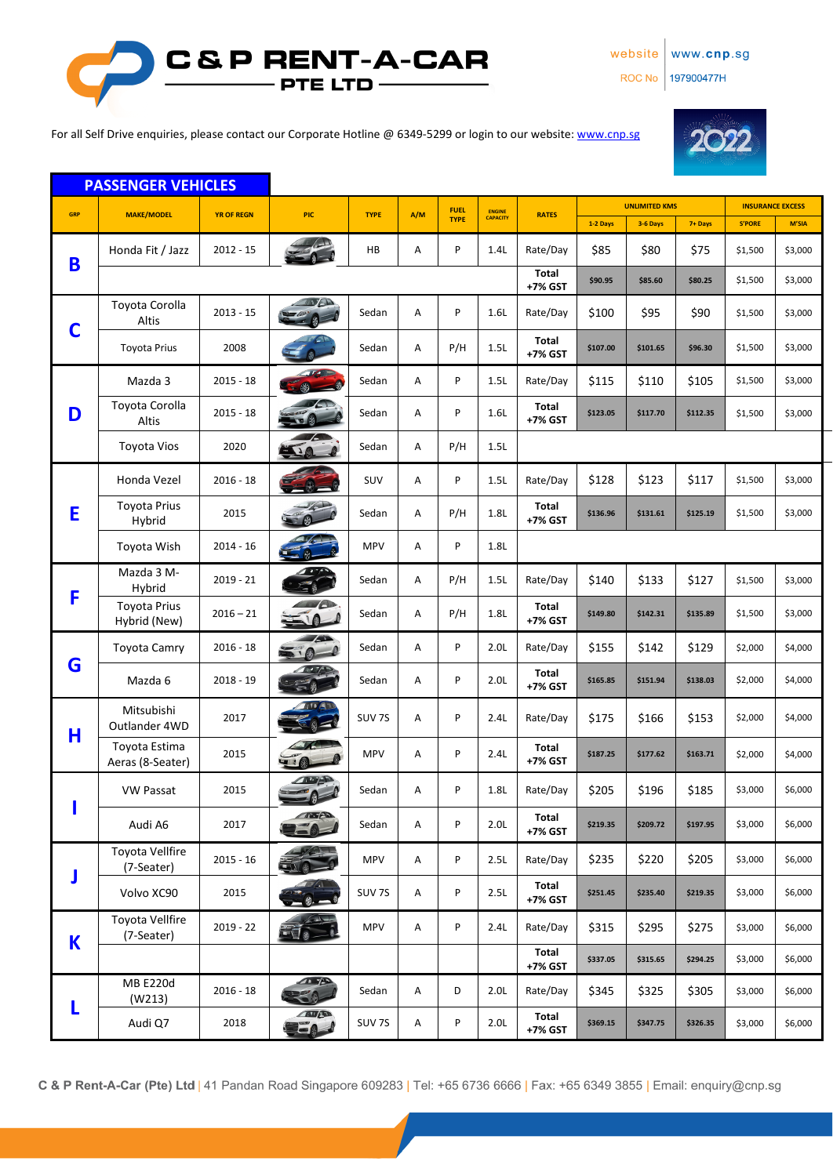website www.cnp.sg

ROC No | 197900477H



For all Self Drive enquiries, please contact our Corporate Hotline @ 6349-5299 or login to our website[: www.cnp.sg](http://www.cnp.sg/)



|             | <b>PASSENGER VEHICLES</b>            |                   |                               |                   |     |             |                  |                  |                      |          |          |                         |         |
|-------------|--------------------------------------|-------------------|-------------------------------|-------------------|-----|-------------|------------------|------------------|----------------------|----------|----------|-------------------------|---------|
| GRP         | <b>MAKE/MODEL</b>                    | <b>YR OF REGN</b> | PIC                           | <b>TYPE</b>       | A/M | <b>FUEL</b> | <b>ENGINE</b>    | <b>RATES</b>     | <b>UNLIMITED KMS</b> |          |          | <b>INSURANCE EXCESS</b> |         |
|             |                                      |                   |                               |                   |     | <b>TYPE</b> | <b>CAPACITY</b>  |                  | 1-2 Days             | 3-6 Days | 7+ Days  | <b>S'PORE</b>           | M'SIA   |
| B           | Honda Fit / Jazz                     | $2012 - 15$       |                               | HB                | Α   | P           | 1.4L             | Rate/Day         | \$85                 | \$80     | \$75     | \$1,500                 | \$3,000 |
|             |                                      |                   |                               |                   |     |             |                  | Total<br>+7% GST | \$90.95              | \$85.60  | \$80.25  | \$1,500                 | \$3,000 |
| C           | Toyota Corolla<br>Altis              | $2013 - 15$       | WA                            | Sedan             | Α   | P           | 1.6L             | Rate/Day         | \$100                | \$95     | \$90     | \$1,500                 | \$3,000 |
|             | <b>Toyota Prius</b>                  | 2008              |                               | Sedan             | Α   | P/H         | 1.5L             | Total<br>+7% GST | \$107.00             | \$101.65 | \$96.30  | \$1,500                 | \$3,000 |
|             | Mazda 3                              | $2015 - 18$       |                               | Sedan             | Α   | P           | 1.5L             | Rate/Day         | \$115                | \$110    | \$105    | \$1,500                 | \$3,000 |
| D           | Toyota Corolla<br>Altis              | $2015 - 18$       |                               | Sedan             | Α   | P           | 1.6L             | Total<br>+7% GST | \$123.05             | \$117.70 | \$112.35 | \$1,500                 | \$3,000 |
|             | <b>Toyota Vios</b>                   | 2020              |                               | Sedan             | Α   | P/H         | 1.5L             |                  |                      |          |          |                         |         |
|             | Honda Vezel                          | $2016 - 18$       |                               | SUV               | Α   | P           | 1.5L             | Rate/Day         | \$128                | \$123    | \$117    | \$1,500                 | \$3,000 |
| E           | <b>Toyota Prius</b><br>Hybrid        | 2015              |                               | Sedan             | Α   | P/H         | 1.8L             | Total<br>+7% GST | \$136.96             | \$131.61 | \$125.19 | \$1,500                 | \$3,000 |
|             | Toyota Wish                          | $2014 - 16$       |                               | <b>MPV</b>        | Α   | P           | 1.8L             |                  |                      |          |          |                         |         |
| F           | Mazda 3 M-<br>Hybrid                 | $2019 - 21$       |                               | Sedan             | Α   | P/H         | 1.5L             | Rate/Day         | \$140                | \$133    | \$127    | \$1,500                 | \$3,000 |
|             | <b>Toyota Prius</b><br>Hybrid (New)  | $2016 - 21$       | $\mathcal{M}$                 | Sedan             | Α   | P/H         | 1.8L             | Total<br>+7% GST | \$149.80             | \$142.31 | \$135.89 | \$1,500                 | \$3,000 |
|             | <b>Toyota Camry</b>                  | $2016 - 18$       | $\overline{A}$<br>500         | Sedan             | Α   | P           | 2.0L             | Rate/Day         | \$155                | \$142    | \$129    | \$2,000                 | \$4,000 |
| G           | Mazda 6                              | $2018 - 19$       |                               | Sedan             | Α   | P           | 2.0 <sub>L</sub> | Total<br>+7% GST | \$165.85             | \$151.94 | \$138.03 | \$2,000                 | \$4,000 |
|             | Mitsubishi<br>Outlander 4WD          | 2017              |                               | SUV <sub>7S</sub> | Α   | P           | 2.4L             | Rate/Day         | \$175                | \$166    | \$153    | \$2,000                 | \$4,000 |
| Н           | Toyota Estima<br>Aeras (8-Seater)    | 2015              |                               | <b>MPV</b>        | Α   | P           | 2.4L             | Total<br>+7% GST | \$187.25             | \$177.62 | \$163.71 | \$2,000                 | \$4,000 |
|             | <b>VW Passat</b>                     | 2015              |                               | Sedan             | Α   | P           | 1.8L             | Rate/Day         | \$205                | \$196    | \$185    | \$3,000                 | \$6,000 |
|             | Audi A6                              | 2017              | THE                           | Sedan             | Α   | P           | 2.0 <sub>L</sub> | Total<br>+7% GST | \$219.35             | \$209.72 | \$197.95 | \$3,000                 | \$6,000 |
| J           | <b>Toyota Vellfire</b><br>(7-Seater) | $2015 - 16$       |                               | <b>MPV</b>        | Α   | P           | 2.5L             | Rate/Day         | \$235                | \$220    | \$205    | \$3,000                 | \$6,000 |
|             | Volvo XC90                           | 2015              |                               | SUV 7S            | Α   | P           | 2.5L             | Total<br>+7% GST | \$251.45             | \$235.40 | \$219.35 | \$3,000                 | \$6,000 |
| $\mathbf K$ | <b>Toyota Vellfire</b><br>(7-Seater) | $2019 - 22$       |                               | <b>MPV</b>        | Α   | P           | 2.4L             | Rate/Day         | \$315                | \$295    | \$275    | \$3,000                 | \$6,000 |
|             |                                      |                   |                               |                   |     |             |                  | Total<br>+7% GST | \$337.05             | \$315.65 | \$294.25 | \$3,000                 | \$6,000 |
| L           | <b>MB E220d</b><br>(W213)            | $2016 - 18$       | 4.742                         | Sedan             | Α   | D           | 2.0L             | Rate/Day         | \$345                | \$325    | \$305    | \$3,000                 | \$6,000 |
|             | Audi Q7                              | 2018              | <b>AND</b><br>UE <sub>A</sub> | SUV 7S            | А   | P           | 2.0L             | Total<br>+7% GST | \$369.15             | \$347.75 | \$326.35 | \$3,000                 | \$6,000 |

C & P Rent-A-Car (Pte) Ltd | 41 Pandan Road Singapore 609283 | Tel: +65 6736 6666 | Fax: +65 6349 3855 | Email: enquiry@cnp.sg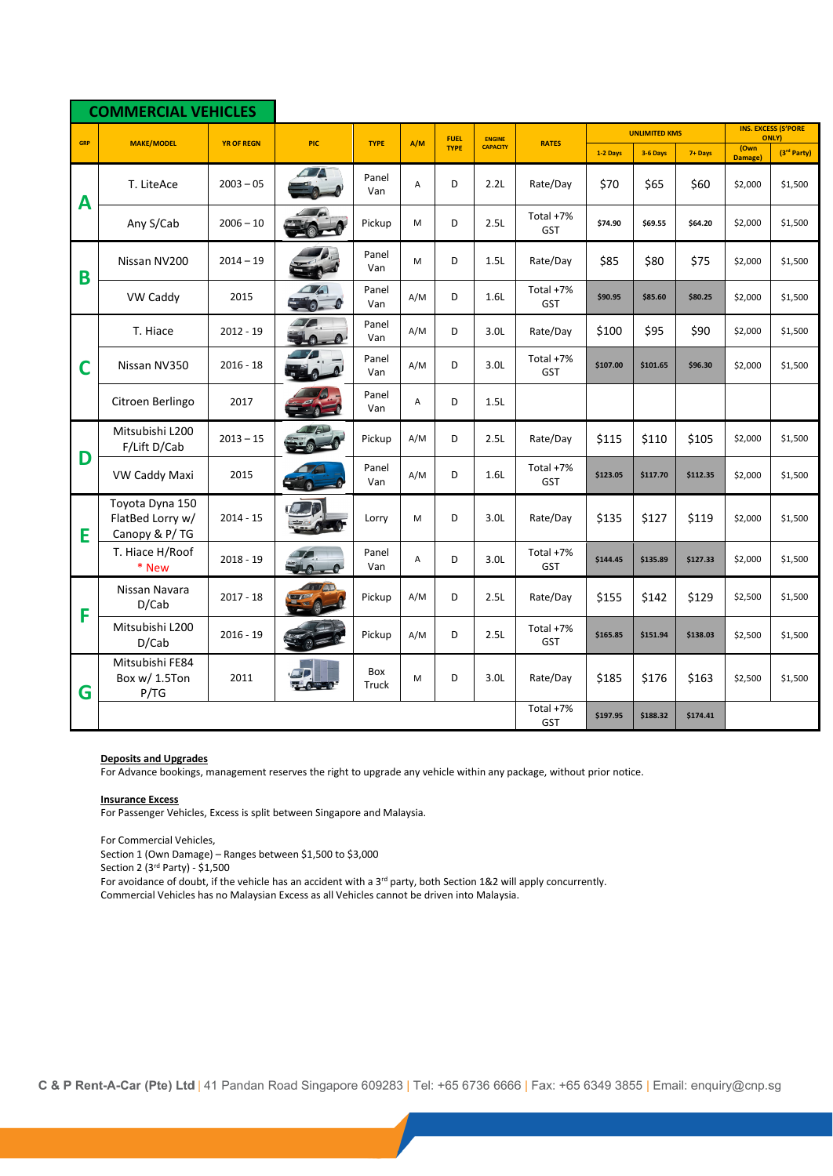|            | <b>COMMERCIAL VEHICLES</b>                           |                   |                                                |              |     |                            |                                  |                         |                      |          |          |                 |                                            |
|------------|------------------------------------------------------|-------------------|------------------------------------------------|--------------|-----|----------------------------|----------------------------------|-------------------------|----------------------|----------|----------|-----------------|--------------------------------------------|
|            |                                                      |                   |                                                |              | A/M | <b>FUEL</b><br><b>TYPE</b> | <b>ENGINE</b><br><b>CAPACITY</b> |                         | <b>UNLIMITED KMS</b> |          |          |                 | <b>INS. EXCESS (S'PORE</b><br><b>ONLY)</b> |
| <b>GRP</b> | <b>MAKE/MODEL</b>                                    | <b>YR OF REGN</b> | <b>PIC</b>                                     | <b>TYPE</b>  |     |                            |                                  | <b>RATES</b>            | 1-2 Days             | 3-6 Days | 7+ Days  | (Own<br>Damage) | (3rd Party)                                |
| A          | T. LiteAce                                           | $2003 - 05$       |                                                | Panel<br>Van | Α   | D                          | 2.2L                             | Rate/Day                | \$70                 | \$65     | \$60     | \$2,000         | \$1,500                                    |
|            | Any S/Cab                                            | $2006 - 10$       |                                                | Pickup       | M   | D                          | 2.5L                             | Total +7%<br><b>GST</b> | \$74.90              | \$69.55  | \$64.20  | \$2,000         | \$1,500                                    |
| B          | Nissan NV200                                         | $2014 - 19$       |                                                | Panel<br>Van | M   | D                          | 1.5L                             | Rate/Day                | \$85                 | \$80     | \$75     | \$2,000         | \$1,500                                    |
|            | VW Caddy                                             | 2015              | $\Delta$ /s<br>$\overline{\bullet}$<br>$\circ$ | Panel<br>Van | A/M | D                          | 1.6L                             | Total +7%<br><b>GST</b> | \$90.95              | \$85.60  | \$80.25  | \$2,000         | \$1,500                                    |
|            | T. Hiace                                             | $2012 - 19$       | <b>ATA</b><br>$40 - 0$                         | Panel<br>Van | A/M | D                          | 3.0L                             | Rate/Day                | \$100                | \$95     | \$90     | \$2,000         | \$1,500                                    |
| С          | Nissan NV350                                         | $2016 - 18$       |                                                | Panel<br>Van | A/M | D                          | 3.0L                             | Total +7%<br>GST        | \$107.00             | \$101.65 | \$96.30  | \$2,000         | \$1,500                                    |
|            | Citroen Berlingo                                     | 2017              |                                                | Panel<br>Van | A   | D                          | 1.5L                             |                         |                      |          |          |                 |                                            |
|            | Mitsubishi L200<br>F/Lift D/Cab                      | $2013 - 15$       |                                                | Pickup       | A/M | D                          | 2.5L                             | Rate/Day                | \$115                | \$110    | \$105    | \$2,000         | \$1,500                                    |
| D          | VW Caddy Maxi                                        | 2015              |                                                | Panel<br>Van | A/M | D                          | 1.6L                             | Total +7%<br><b>GST</b> | \$123.05             | \$117.70 | \$112.35 | \$2,000         | \$1,500                                    |
| E          | Toyota Dyna 150<br>FlatBed Lorry w/<br>Canopy & P/TG | $2014 - 15$       |                                                | Lorry        | M   | D                          | 3.0L                             | Rate/Day                | \$135                | \$127    | \$119    | \$2,000         | \$1,500                                    |
|            | T. Hiace H/Roof<br>* New                             | $2018 - 19$       |                                                | Panel<br>Van | A   | D                          | 3.0L                             | Total +7%<br><b>GST</b> | \$144.45             | \$135.89 | \$127.33 | \$2,000         | \$1,500                                    |
| F          | Nissan Navara<br>D/Cab                               | $2017 - 18$       |                                                | Pickup       | A/M | D                          | 2.5L                             | Rate/Day                | \$155                | \$142    | \$129    | \$2,500         | \$1,500                                    |
|            | Mitsubishi L200<br>D/Cab                             | $2016 - 19$       |                                                | Pickup       | A/M | D                          | 2.5L                             | Total +7%<br>GST        | \$165.85             | \$151.94 | \$138.03 | \$2,500         | \$1,500                                    |
| G          | Mitsubishi FE84<br>Box w/ 1.5Ton<br>P/TG             | 2011              |                                                | Box<br>Truck | M   | D                          | 3.0 <sub>L</sub>                 | Rate/Day                | \$185                | \$176    | \$163    | \$2,500         | \$1,500                                    |
|            |                                                      |                   |                                                |              |     |                            |                                  | Total +7%<br>GST        | \$197.95             | \$188.32 | \$174.41 |                 |                                            |

#### **Deposits and Upgrades**

For Advance bookings, management reserves the right to upgrade any vehicle within any package, without prior notice.

#### **Insurance Excess**

For Passenger Vehicles, Excess is split between Singapore and Malaysia.

For Commercial Vehicles,

Section 1 (Own Damage) – Ranges between \$1,500 to \$3,000

Section 2 (3rd Party) - \$1,500

For avoidance of doubt, if the vehicle has an accident with a 3<sup>rd</sup> party, both Section 1&2 will apply concurrently.

Commercial Vehicles has no Malaysian Excess as all Vehicles cannot be driven into Malaysia.

C & P Rent-A-Car (Pte) Ltd | 41 Pandan Road Singapore 609283 | Tel: +65 6736 6666 | Fax: +65 6349 3855 | Email: enquiry@cnp.sg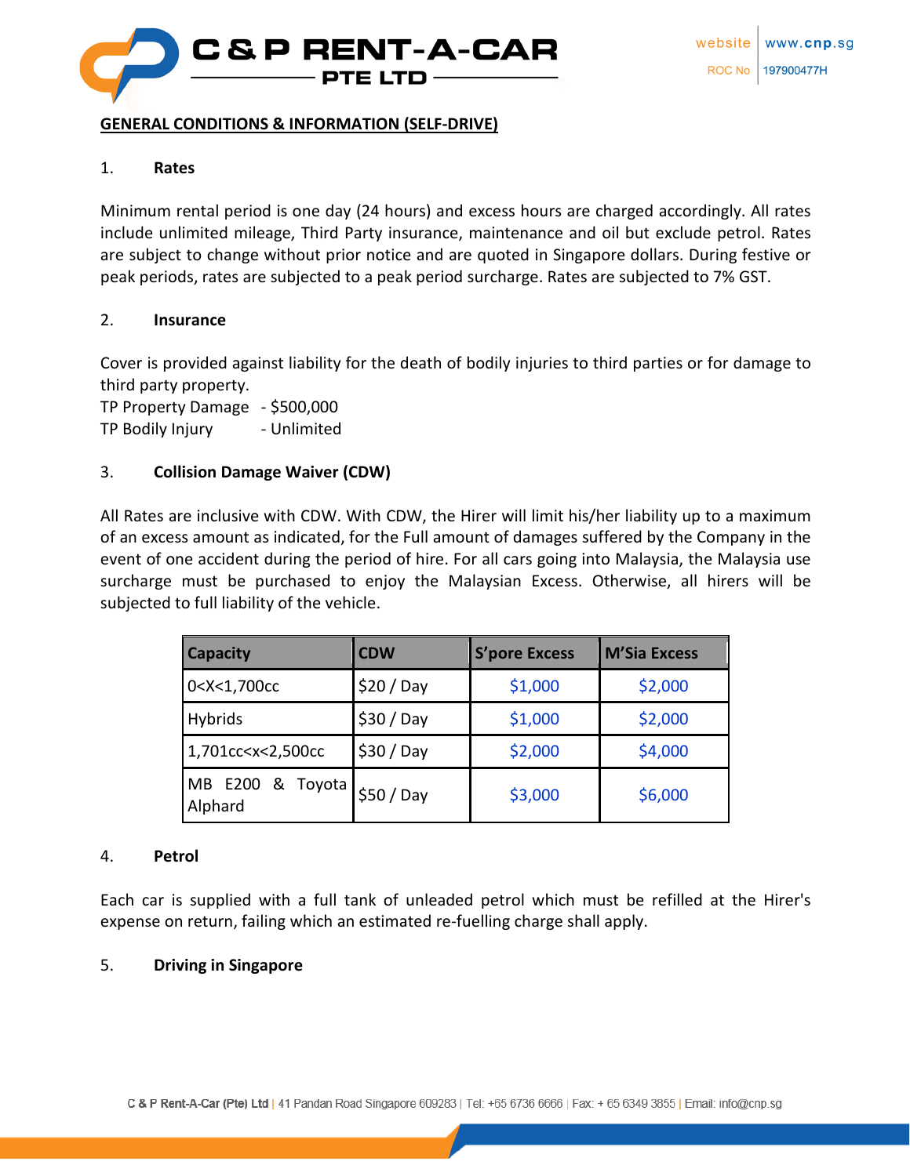

#### **GENERAL CONDITIONS & INFORMATION (SELF-DRIVE)**

#### 1. **Rates**

Minimum rental period is one day (24 hours) and excess hours are charged accordingly. All rates include unlimited mileage, Third Party insurance, maintenance and oil but exclude petrol. Rates are subject to change without prior notice and are quoted in Singapore dollars. During festive or peak periods, rates are subjected to a peak period surcharge. Rates are subjected to 7% GST.

#### 2. **Insurance**

Cover is provided against liability for the death of bodily injuries to third parties or for damage to third party property.

TP Property Damage - \$500,000 TP Bodily Injury - Unlimited

#### 3. **Collision Damage Waiver (CDW)**

All Rates are inclusive with CDW. With CDW, the Hirer will limit his/her liability up to a maximum of an excess amount as indicated, for the Full amount of damages suffered by the Company in the event of one accident during the period of hire. For all cars going into Malaysia, the Malaysia use surcharge must be purchased to enjoy the Malaysian Excess. Otherwise, all hirers will be subjected to full liability of the vehicle.

| <b>Capacity</b>                                                                                              | <b>CDW</b> | <b>S'pore Excess</b> | <b>M'Sia Excess</b> |  |  |
|--------------------------------------------------------------------------------------------------------------|------------|----------------------|---------------------|--|--|
| 0 <x<1,700cc< td=""><td><math>\$20/</math> Day</td><td>\$1,000</td><td colspan="3">\$2,000</td></x<1,700cc<> | $$20/$ Day | \$1,000              | \$2,000             |  |  |
| <b>Hybrids</b>                                                                                               | $$30/$ Day | \$1,000              | \$2,000             |  |  |
| 1,701cc <x<2,500cc< td=""><td><math>\$30/</math> Day</td><td>\$2,000</td><td>\$4,000</td></x<2,500cc<>       | $$30/$ Day | \$2,000              | \$4,000             |  |  |
| MB E200 & Toyota<br>Alphard                                                                                  | \$50/Day   | \$3,000              | \$6,000             |  |  |

#### 4. **Petrol**

Each car is supplied with a full tank of unleaded petrol which must be refilled at the Hirer's expense on return, failing which an estimated re-fuelling charge shall apply.

#### 5. **Driving in Singapore**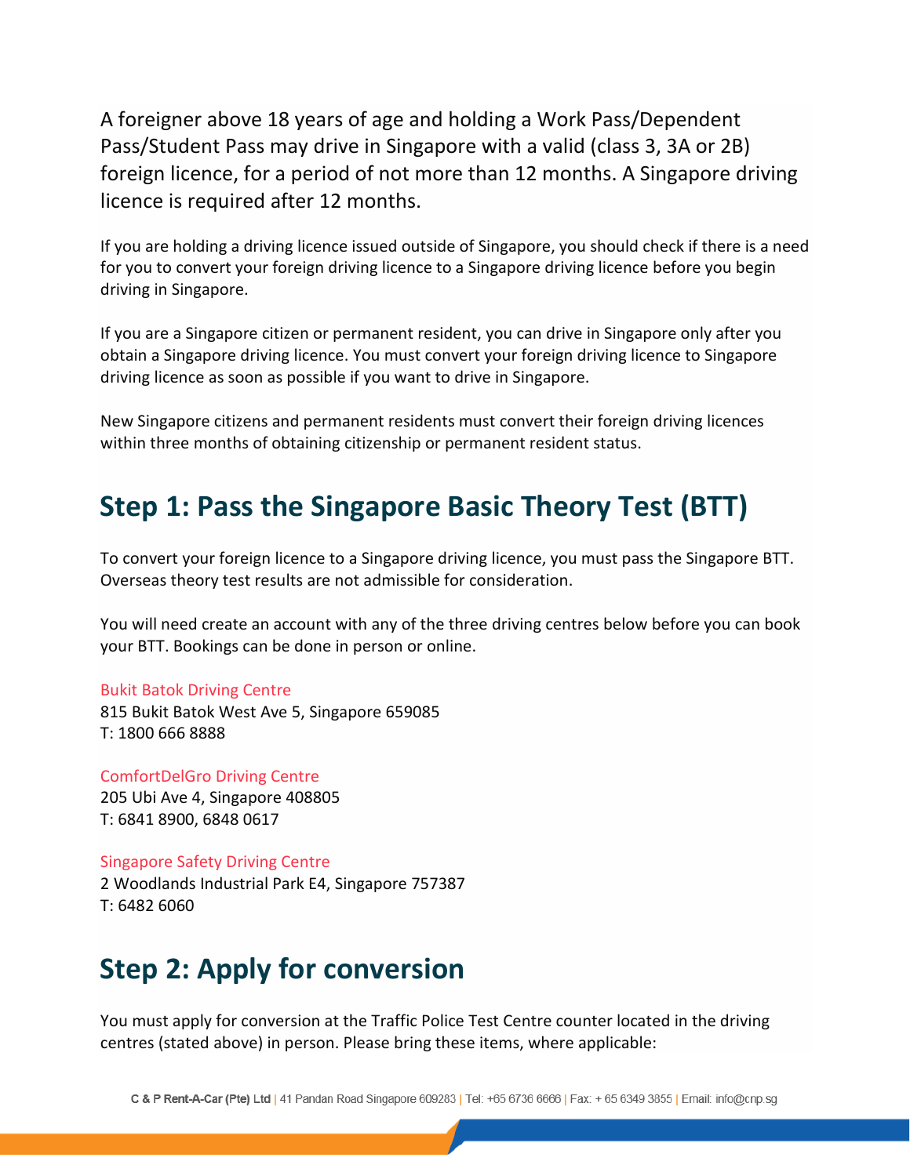A foreigner above 18 years of age and holding a Work Pass/Dependent Pass/Student Pass may drive in Singapore with a valid (class 3, 3A or 2B) foreign licence, for a period of not more than 12 months. A Singapore driving licence is required after 12 months.

If you are holding a driving licence issued outside of Singapore, you should check if there is a need for you to convert your foreign driving licence to a Singapore driving licence before you begin driving in Singapore.

If you are a Singapore citizen or permanent resident, you can drive in Singapore only after you obtain a Singapore driving licence. You must convert your foreign driving licence to Singapore driving licence as soon as possible if you want to drive in Singapore.

New Singapore citizens and permanent residents must convert their foreign driving licences within three months of obtaining citizenship or permanent resident status.

# **Step 1: Pass the Singapore Basic Theory Test (BTT)**

To convert your foreign licence to a Singapore driving licence, you must pass the Singapore BTT. Overseas theory test results are not admissible for consideration.

You will need create an account with any of the three driving centres below before you can book your BTT. Bookings can be done in person or online.

#### Bukit Batok [Driving](http://www.bbdc.com.sg/) Centre

815 Bukit Batok West Ave 5, Singapore 659085 T: 1800 666 8888

[ComfortDelGro](http://www.cdc.com.sg/) Driving Centre 205 Ubi Ave 4, Singapore 408805 T: 6841 8900, 6848 0617

[Singapore](http://www.ssdcl.com.sg/) Safety Driving Centre 2 Woodlands Industrial Park E4, Singapore 757387 T: 6482 6060

# **Step 2: Apply for conversion**

You must apply for conversion at the Traffic Police Test Centre counter located in the driving centres (stated above) in person. Please bring these items, where applicable: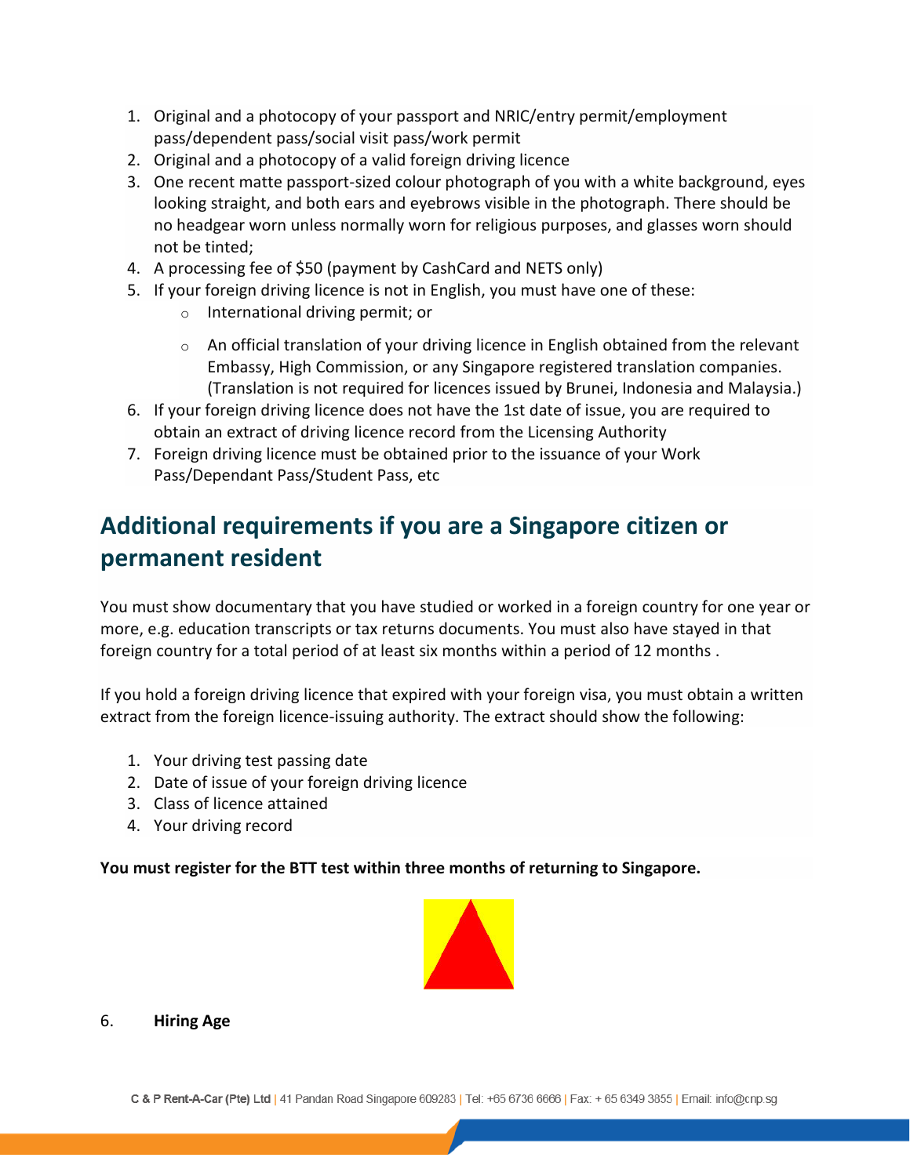- 1. Original and a photocopy of your passport and NRIC/entry permit/employment pass/dependent pass/social visit pass/work permit
- 2. Original and a photocopy of a valid foreign driving licence
- 3. One recent matte passport-sized colour photograph of you with a white background, eyes looking straight, and both ears and eyebrows visible in the photograph. There should be no headgear worn unless normally worn for religious purposes, and glasses worn should not be tinted;
- 4. A processing fee of \$50 (payment by CashCard and NETS only)
- 5. If your foreign driving licence is not in English, you must have one of these:
	- o International driving permit; or
	- $\circ$  An official translation of your driving licence in English obtained from the relevant Embassy, High Commission, or any Singapore registered translation companies. (Translation is not required for licences issued by Brunei, Indonesia and Malaysia.)
- 6. If your foreign driving licence does not have the 1st date of issue, you are required to obtain an extract of driving licence record from the Licensing Authority
- 7. Foreign driving licence must be obtained prior to the issuance of your Work Pass/Dependant Pass/Student Pass, etc

## **Additional requirements if you are a Singapore citizen or permanent resident**

You must show documentary that you have studied or worked in a foreign country for one year or more, e.g. education transcripts or tax returns documents. You must also have stayed in that foreign country for a total period of at least six months within a period of 12 months .

If you hold a foreign driving licence that expired with your foreign visa, you must obtain a written extract from the foreign licence-issuing authority. The extract should show the following:

- 1. Your driving test passing date
- 2. Date of issue of your foreign driving licence
- 3. Class of licence attained
- 4. Your driving record

**You must register for the BTT test within three months of returning to Singapore.**



#### 6. **Hiring Age**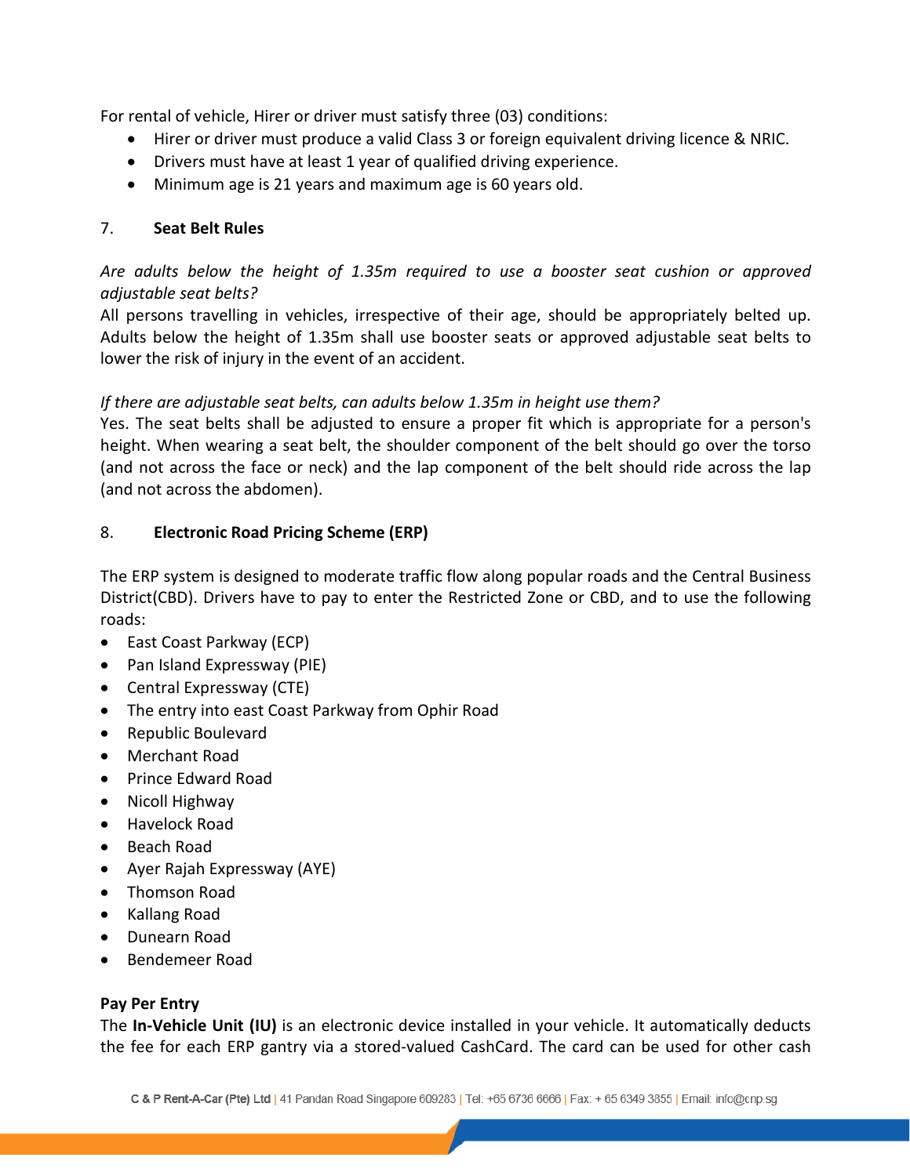For rental of vehicle, Hirer or driver must satisfy three (03) conditions:

- Hirer or driver must produce a valid Class 3 or foreign equivalent driving licence & NRIC.
- Drivers must have at least 1 year of qualified driving experience.
- Minimum age is 21 years and maximum age is 60 years old.

### 7. **Seat Belt Rules**

*Are adults below the height of 1.35m required to use a booster seat cushion or approved adjustable seat belts?*

All persons travelling in vehicles, irrespective of their age, should be appropriately belted up. Adults below the height of 1.35m shall use booster seats or approved adjustable seat belts to lower the risk of injury in the event of an accident.

### *If there are adjustable seat belts, can adults below 1.35m in height use them?*

Yes. The seat belts shall be adjusted to ensure a proper fit which is appropriate for a person's height. When wearing a seat belt, the shoulder component of the belt should go over the torso (and not across the face or neck) and the lap component of the belt should ride across the lap (and not across the abdomen).

### 8. **Electronic Road Pricing Scheme (ERP)**

The ERP system is designed to moderate traffic flow along popular roads and the Central Business District(CBD). Drivers have to pay to enter the Restricted Zone or CBD, and to use the following roads:

- East Coast Parkway (ECP)
- Pan Island Expressway (PIE)
- Central Expressway (CTE)
- The entry into east Coast Parkway from Ophir Road
- Republic Boulevard
- Merchant Road
- Prince Edward Road
- Nicoll Highway
- Havelock Road
- Beach Road
- Ayer Rajah Expressway (AYE)
- Thomson Road
- Kallang Road
- Dunearn Road
- Bendemeer Road

## **Pay Per Entry**

The **In-Vehicle Unit (IU)** is an electronic device installed in your vehicle. It automatically deducts the fee for each ERP gantry via a stored-valued CashCard. The card can be used for other cash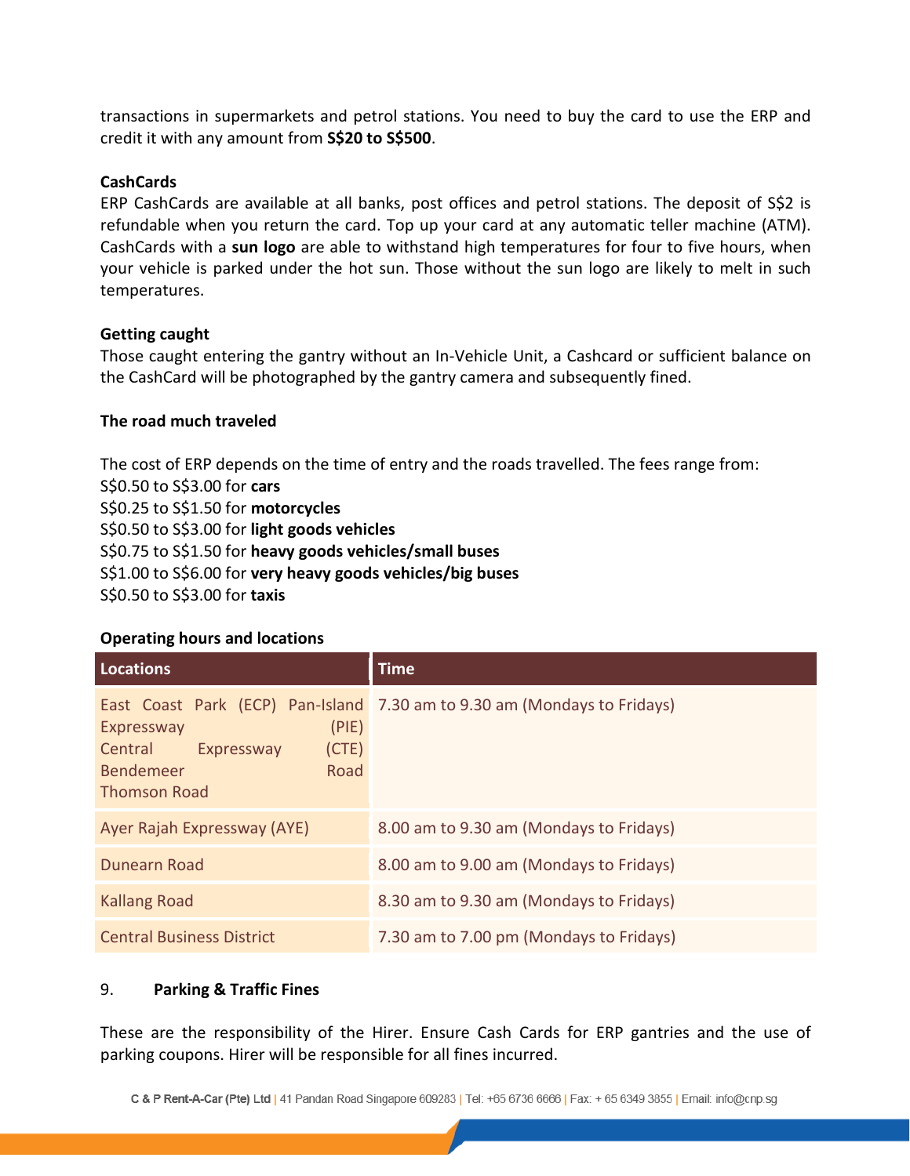transactions in supermarkets and petrol stations. You need to buy the card to use the ERP and credit it with any amount from **S\$20 to S\$500**.

#### **CashCards**

ERP CashCards are available at all banks, post offices and petrol stations. The deposit of S\$2 is refundable when you return the card. Top up your card at any automatic teller machine (ATM). CashCards with a **sun logo** are able to withstand high temperatures for four to five hours, when your vehicle is parked under the hot sun. Those without the sun logo are likely to melt in such temperatures.

### **Getting caught**

Those caught entering the gantry without an In-Vehicle Unit, a Cashcard or sufficient balance on the CashCard will be photographed by the gantry camera and subsequently fined.

### **The road much traveled**

The cost of ERP depends on the time of entry and the roads travelled. The fees range from: S\$0.50 to S\$3.00 for **cars** S\$0.25 to S\$1.50 for **motorcycles**  S\$0.50 to S\$3.00 for **light goods vehicles** S\$0.75 to S\$1.50 for **heavy goods vehicles/small buses** S\$1.00 to S\$6.00 for **very heavy goods vehicles/big buses**  S\$0.50 to S\$3.00 for **taxis**

#### **Operating hours and locations**

| <b>Locations</b>                                                                                         | <b>Time</b>                                                              |
|----------------------------------------------------------------------------------------------------------|--------------------------------------------------------------------------|
| (PIE)<br>Expressway<br>Central<br>Expressway<br>(CTE)<br><b>Bendemeer</b><br>Road<br><b>Thomson Road</b> | East Coast Park (ECP) Pan-Island 7.30 am to 9.30 am (Mondays to Fridays) |
| Ayer Rajah Expressway (AYE)                                                                              | 8.00 am to 9.30 am (Mondays to Fridays)                                  |
| Dunearn Road                                                                                             | 8.00 am to 9.00 am (Mondays to Fridays)                                  |
| <b>Kallang Road</b>                                                                                      | 8.30 am to 9.30 am (Mondays to Fridays)                                  |
| <b>Central Business District</b>                                                                         | 7.30 am to 7.00 pm (Mondays to Fridays)                                  |

## 9. **Parking & Traffic Fines**

These are the responsibility of the Hirer. Ensure Cash Cards for ERP gantries and the use of parking coupons. Hirer will be responsible for all fines incurred.

C & P Rent-A-Car (Pte) Ltd | 41 Pandan Road Singapore 609283 | Tel: +65 6736 6666 | Fax: + 65 6349 3855 | Email: info@cnp.sg